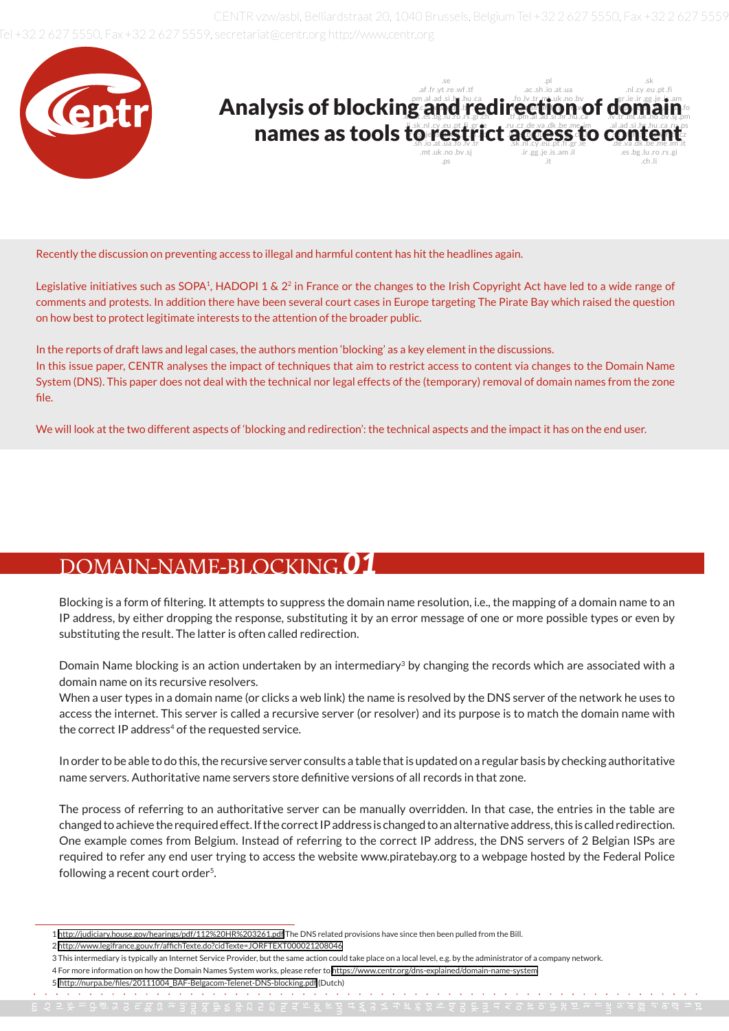2627 5550. Fax +32 2627 5559. secretariat@centr.org http://www.centr.org CENTR vzw/asbl, Belliardstraat 20, 1040 Brussels, Belgium Tel +32 2 627 5550, Fax +32 2 627 5559



Recently the discussion on preventing access to illegal and harmful content has hit the headlines again.

Legislative initiatives such as SOPA<sup>1</sup>, HADOPI 1 &  $2<sup>2</sup>$  in France or the changes to the Irish Copyright Act have led to a wide range of comments and protests. In addition there have been several court cases in Europe targeting The Pirate Bay which raised the question on how best to protect legitimate interests to the attention of the broader public.

In the reports of draft laws and legal cases, the authors mention 'blocking' as a key element in the discussions. In this issue paper, CENTR analyses the impact of techniques that aim to restrict access to content via changes to the Domain Name System (DNS). This paper does not deal with the technical nor legal effects of the (temporary) removal of domain names from the zone file.

We will look at the two different aspects of 'blocking and redirection': the technical aspects and the impact it has on the end user.

#### DOMAIN-NAME-BLOCKING.*01*

Blocking is a form of filtering. It attempts to suppress the domain name resolution, i.e., the mapping of a domain name to an IP address, by either dropping the response, substituting it by an error message of one or more possible types or even by substituting the result. The latter is often called redirection.

Domain Name blocking is an action undertaken by an intermediary<sup>3</sup> by changing the records which are associated with a domain name on its recursive resolvers.

When a user types in a domain name (or clicks a web link) the name is resolved by the DNS server of the network he uses to access the internet. This server is called a recursive server (or resolver) and its purpose is to match the domain name with the correct IP address<sup>4</sup> of the requested service.

In order to be able to do this, the recursive server consults a table that is updated on a regular basis by checking authoritative name servers. Authoritative name servers store definitive versions of all records in that zone.

The process of referring to an authoritative server can be manually overridden. In that case, the entries in the table are changed to achieve the required effect. If the correct IP address is changed to an alternative address, this is called redirection. One example comes from Belgium. Instead of referring to the correct IP address, the DNS servers of 2 Belgian ISPs are required to refer any end user trying to access the website www.piratebay.org to a webpage hosted by the Federal Police following a recent court order<sup>5</sup>.

<sup>1</sup> <http://judiciary.house.gov/hearings/pdf/112%20HR%203261.pdf>The DNS related provisions have since then been pulled from the Bill.

<sup>2</sup> <http://www.legifrance.gouv.fr/affichTexte.do?cidTexte=JORFTEXT000021208046>

<sup>3</sup> This intermediary is typically an Internet Service Provider, but the same action could take place on a local level, e.g. by the administrator of a company network.

<sup>4</sup> For more information on how the Domain Names System works, please refer to<https://www.centr.org/dns-explained/domain-name-system>

<sup>5</sup> [http://nurpa.be/files/20111004\\_BAF-Belgacom-Telenet-DNS-blocking.pdf]( http://nurpa.be/files/20111004_BAF-Belgacom-Telenet-DNS-blocking.pdf) (Dutch)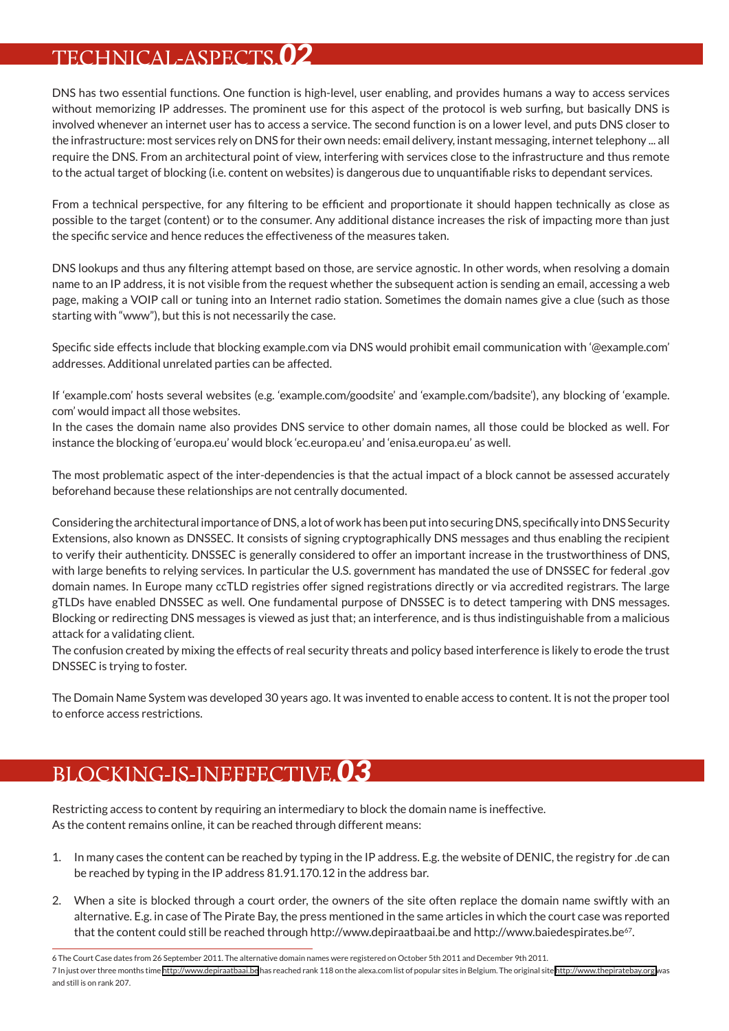### TECHNICAL-ASPECTS.*02*

DNS has two essential functions. One function is high-level, user enabling, and provides humans a way to access services without memorizing IP addresses. The prominent use for this aspect of the protocol is web surfing, but basically DNS is involved whenever an internet user has to access a service. The second function is on a lower level, and puts DNS closer to the infrastructure: most services rely on DNS for their own needs: email delivery, instant messaging, internet telephony ... all require the DNS. From an architectural point of view, interfering with services close to the infrastructure and thus remote to the actual target of blocking (i.e. content on websites) is dangerous due to unquantifiable risks to dependant services.

From a technical perspective, for any filtering to be efficient and proportionate it should happen technically as close as possible to the target (content) or to the consumer. Any additional distance increases the risk of impacting more than just the specific service and hence reduces the effectiveness of the measures taken.

DNS lookups and thus any filtering attempt based on those, are service agnostic. In other words, when resolving a domain name to an IP address, it is not visible from the request whether the subsequent action is sending an email, accessing a web page, making a VOIP call or tuning into an Internet radio station. Sometimes the domain names give a clue (such as those starting with "www"), but this is not necessarily the case.

Specific side effects include that blocking example.com via DNS would prohibit email communication with '@example.com' addresses. Additional unrelated parties can be affected.

If 'example.com' hosts several websites (e.g. 'example.com/goodsite' and 'example.com/badsite'), any blocking of 'example. com' would impact all those websites.

In the cases the domain name also provides DNS service to other domain names, all those could be blocked as well. For instance the blocking of 'europa.eu' would block 'ec.europa.eu' and 'enisa.europa.eu' as well.

The most problematic aspect of the inter-dependencies is that the actual impact of a block cannot be assessed accurately beforehand because these relationships are not centrally documented.

Considering the architectural importance of DNS, a lot of work has been put into securing DNS, specifically into DNS Security Extensions, also known as DNSSEC. It consists of signing cryptographically DNS messages and thus enabling the recipient to verify their authenticity. DNSSEC is generally considered to offer an important increase in the trustworthiness of DNS, with large benefits to relying services. In particular the U.S. government has mandated the use of DNSSEC for federal .gov domain names. In Europe many ccTLD registries offer signed registrations directly or via accredited registrars. The large gTLDs have enabled DNSSEC as well. One fundamental purpose of DNSSEC is to detect tampering with DNS messages. Blocking or redirecting DNS messages is viewed as just that; an interference, and is thus indistinguishable from a malicious attack for a validating client.

The confusion created by mixing the effects of real security threats and policy based interference is likely to erode the trust DNSSEC is trying to foster.

The Domain Name System was developed 30 years ago. It was invented to enable access to content. It is not the proper tool to enforce access restrictions.

## BLOCKING-IS-INEFFECTIVE.*03*

Restricting access to content by requiring an intermediary to block the domain name is ineffective. As the content remains online, it can be reached through different means:

- 1. In many cases the content can be reached by typing in the IP address. E.g. the website of DENIC, the registry for .de can be reached by typing in the IP address 81.91.170.12 in the address bar.
- 2. When a site is blocked through a court order, the owners of the site often replace the domain name swiftly with an alternative. E.g. in case of The Pirate Bay, the press mentioned in the same articles in which the court case was reported that the content could still be reached through http://www.depiraatbaai.be and http://www.baiedespirates.be<sup>67</sup>.

<sup>6</sup> The Court Case dates from 26 September 2011. The alternative domain names were registered on October 5th 2011 and December 9th 2011.

<sup>7</sup> In just over three months time <http://www.depiraatbaai.be> has reached rank 118 on the alexa.com list of popular sites in Belgium. The original site <http://www.thepiratebay.org>was and still is on rank 207.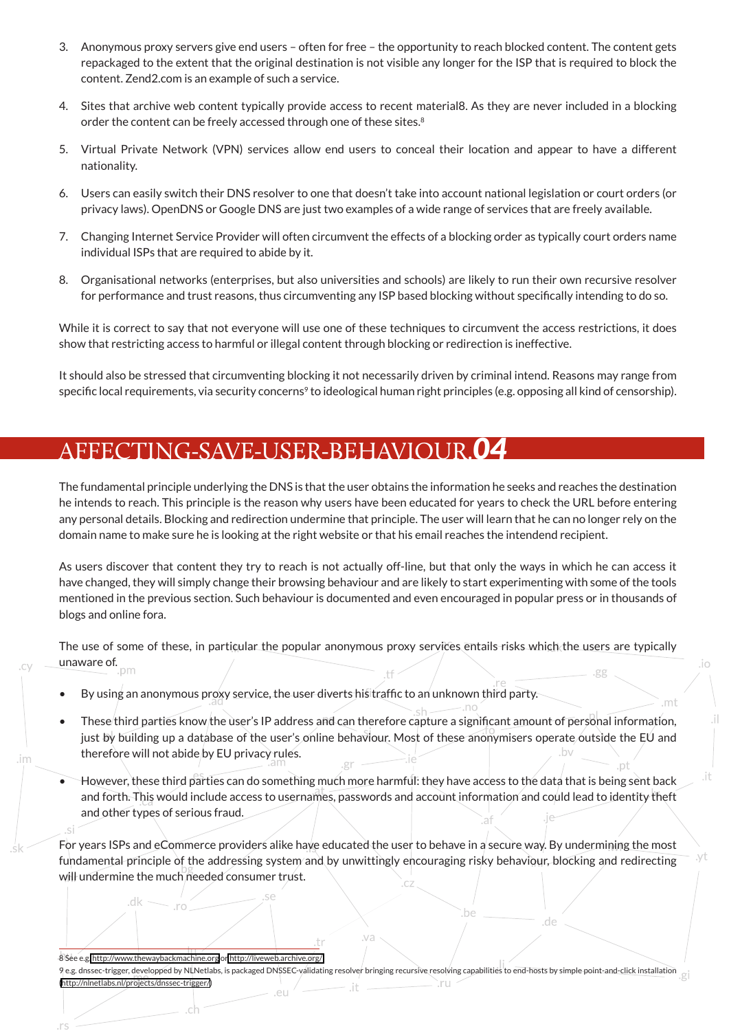- 3. Anonymous proxy servers give end users often for free the opportunity to reach blocked content. The content gets repackaged to the extent that the original destination is not visible any longer for the ISP that is required to block the content. Zend2.com is an example of such a service.
- 4. Sites that archive web content typically provide access to recent material8. As they are never included in a blocking order the content can be freely accessed through one of these sites.<sup>8</sup>
- 5. Virtual Private Network (VPN) services allow end users to conceal their location and appear to have a different nationality.
- 6. Users can easily switch their DNS resolver to one that doesn't take into account national legislation or court orders (or privacy laws). OpenDNS or Google DNS are just two examples of a wide range of services that are freely available.
- 7. Changing Internet Service Provider will often circumvent the effects of a blocking order as typically court orders name individual ISPs that are required to abide by it.
- 8. Organisational networks (enterprises, but also universities and schools) are likely to run their own recursive resolver for performance and trust reasons, thus circumventing any ISP based blocking without specifically intending to do so.

While it is correct to say that not everyone will use one of these techniques to circumvent the access restrictions, it does show that restricting access to harmful or illegal content through blocking or redirection is ineffective.

It should also be stressed that circumventing blocking it not necessarily driven by criminal intend. Reasons may range from specific local requirements, via security concerns<sup>9</sup> to ideological human right principles (e.g. opposing all kind of censorship).

#### AFFECTING-SAVE-USER-BEHAVIOUR.*04*

The fundamental principle underlying the DNS is that the user obtains the information he seeks and reaches the destination he intends to reach. This principle is the reason why users have been educated for years to check the URL before entering any personal details. Blocking and redirection undermine that principle. The user will learn that he can no longer rely on the domain name to make sure he is looking at the right website or that his email reaches the intendend recipient.

As users discover that content they try to reach is not actually off-line, but that only the ways in which he can access it have changed, they will simply change their browsing behaviour and are likely to start experimenting with some of the tools mentioned in the previous section. Such behaviour is documented and even encouraged in popular press or in thousands of blogs and online fora.

The use of some of these, in particular the popular anonymous proxy services entails risks which the users are typically unaware of.

- By using an anonymous proxy service, the user diverts his traffic to an unknown third party.
- These third parties know the user's IP address and can therefore capture a significant amount of personal information, just by building up a database of the user's online behaviour. Most of these anonymisers operate outside the EU and therefore will not abide by EU privacy rules. .gr
- However, these third parties can do something much more harmful: they have access to the data that is being sent back and forth. This would include access to usernames, passwords and account information and could lead to identity theft and other types of serious fraud.

For years ISPs and eCommerce providers alike have educated the user to behave in a secure way. By undermining the most fundamental principle of the addressing system and by unwittingly encouraging risky behaviour, blocking and redirecting will undermine the much needed consumer trust.

8 See e.g[. http://www.thewaybackmachine.org]( http://www.thewaybackmachine.org) o[r http://liveweb.archive.org/](http://liveweb.archive.org/)

dk

.im

9 e.g. dnssec-trigger, developped by NLNetlabs, is packaged DNSSEC-validating resolver bringing recursive resolving capabilities to end-hosts by simple point-and-click installation [\(http://nlnetlabs.nl/projects/dnssec-trigger/](http://nlnetlabs.nl/projects/dnssec-trigger/))`.ru

.va

de